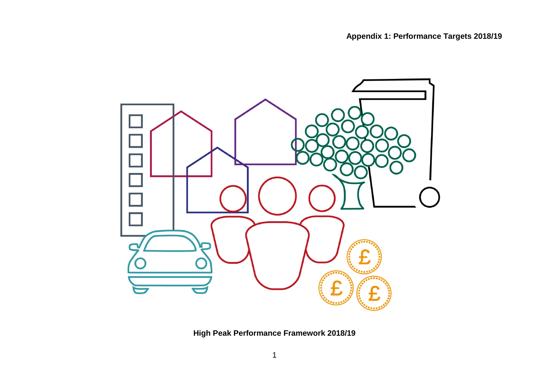

**High Peak Performance Framework 2018/19**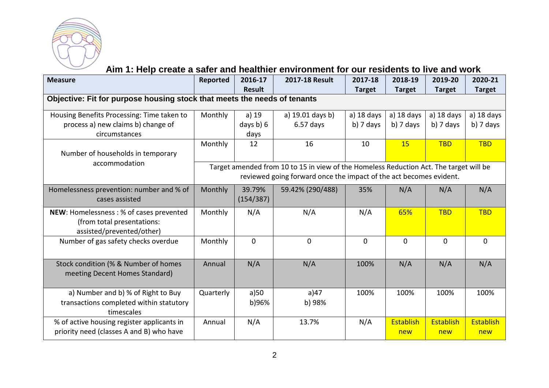

#### **Aim 1: Help create a safer and healthier environment for our residents to live and work**

| <b>Measure</b>                                                           | Reported                                                                               | 2016-17       | <b>2017-18 Result</b> | 2017-18       | 2018-19        | 2019-20       | 2020-21       |  |  |  |
|--------------------------------------------------------------------------|----------------------------------------------------------------------------------------|---------------|-----------------------|---------------|----------------|---------------|---------------|--|--|--|
|                                                                          |                                                                                        | <b>Result</b> |                       | <b>Target</b> | <b>Target</b>  | <b>Target</b> | <b>Target</b> |  |  |  |
| Objective: Fit for purpose housing stock that meets the needs of tenants |                                                                                        |               |                       |               |                |               |               |  |  |  |
| Housing Benefits Processing: Time taken to                               | Monthly                                                                                | a) 19         | a) 19.01 days b)      | a) $18$ days  | a) 18 days     | a) 18 days    | a) 18 days    |  |  |  |
| process a) new claims b) change of                                       |                                                                                        | days $b) 6$   | $6.57$ days           | $b)$ 7 days   | $b)$ 7 days    | $b)$ 7 days   | b) 7 days     |  |  |  |
| circumstances                                                            |                                                                                        | days          |                       |               |                |               |               |  |  |  |
|                                                                          | Monthly                                                                                | 12            | 16                    | 10            | 15             | <b>TBD</b>    | <b>TBD</b>    |  |  |  |
| Number of households in temporary                                        |                                                                                        |               |                       |               |                |               |               |  |  |  |
| accommodation                                                            | Target amended from 10 to 15 in view of the Homeless Reduction Act. The target will be |               |                       |               |                |               |               |  |  |  |
|                                                                          | reviewed going forward once the impact of the act becomes evident.                     |               |                       |               |                |               |               |  |  |  |
| Homelessness prevention: number and % of                                 | Monthly                                                                                | 39.79%        | 59.42% (290/488)      | 35%           | N/A            | N/A           | N/A           |  |  |  |
| cases assisted                                                           |                                                                                        | (154/387)     |                       |               |                |               |               |  |  |  |
| NEW: Homelessness: % of cases prevented                                  | Monthly                                                                                | N/A           | N/A                   | N/A           | 65%            | <b>TBD</b>    | <b>TBD</b>    |  |  |  |
| (from total presentations:                                               |                                                                                        |               |                       |               |                |               |               |  |  |  |
| assisted/prevented/other)                                                |                                                                                        |               |                       |               |                |               |               |  |  |  |
| Number of gas safety checks overdue                                      | Monthly                                                                                | $\Omega$      | $\Omega$              | $\Omega$      | $\overline{0}$ | $\Omega$      | $\Omega$      |  |  |  |
|                                                                          |                                                                                        |               |                       |               |                |               |               |  |  |  |
| Stock condition (% & Number of homes                                     | Annual                                                                                 | N/A           | N/A                   | 100%          | N/A            | N/A           | N/A           |  |  |  |
| meeting Decent Homes Standard)                                           |                                                                                        |               |                       |               |                |               |               |  |  |  |
|                                                                          |                                                                                        |               |                       |               |                |               |               |  |  |  |
| a) Number and b) % of Right to Buy                                       | Quarterly                                                                              | a)50          | a) $47$               | 100%          | 100%           | 100%          | 100%          |  |  |  |
| transactions completed within statutory                                  |                                                                                        | b)96%         | b) 98%                |               |                |               |               |  |  |  |
| timescales                                                               |                                                                                        |               |                       |               |                |               |               |  |  |  |
| % of active housing register applicants in                               | Annual                                                                                 | N/A           | 13.7%                 | N/A           | Establish      | Establish     | Establish     |  |  |  |
| priority need (classes A and B) who have                                 |                                                                                        |               |                       |               | new            | new           | new           |  |  |  |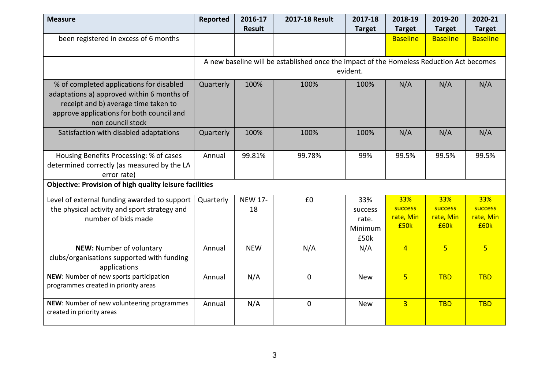| <b>Measure</b>                                                          | Reported  | 2016-17        | 2017-18 Result                                                                           | 2017-18       | 2018-19         | 2019-20         | 2020-21         |
|-------------------------------------------------------------------------|-----------|----------------|------------------------------------------------------------------------------------------|---------------|-----------------|-----------------|-----------------|
|                                                                         |           | <b>Result</b>  |                                                                                          | <b>Target</b> | <b>Target</b>   | <b>Target</b>   | <b>Target</b>   |
| been registered in excess of 6 months                                   |           |                |                                                                                          |               | <b>Baseline</b> | <b>Baseline</b> | <b>Baseline</b> |
|                                                                         |           |                |                                                                                          |               |                 |                 |                 |
|                                                                         |           |                | A new baseline will be established once the impact of the Homeless Reduction Act becomes |               |                 |                 |                 |
|                                                                         |           |                |                                                                                          | evident.      |                 |                 |                 |
| % of completed applications for disabled                                | Quarterly | 100%           | 100%                                                                                     | 100%          | N/A             | N/A             | N/A             |
| adaptations a) approved within 6 months of                              |           |                |                                                                                          |               |                 |                 |                 |
| receipt and b) average time taken to                                    |           |                |                                                                                          |               |                 |                 |                 |
| approve applications for both council and                               |           |                |                                                                                          |               |                 |                 |                 |
| non council stock                                                       |           |                |                                                                                          |               |                 |                 |                 |
| Satisfaction with disabled adaptations                                  | Quarterly | 100%           | 100%                                                                                     | 100%          | N/A             | N/A             | N/A             |
|                                                                         |           |                |                                                                                          |               |                 |                 |                 |
| Housing Benefits Processing: % of cases                                 | Annual    | 99.81%         | 99.78%                                                                                   | 99%           | 99.5%           | 99.5%           | 99.5%           |
| determined correctly (as measured by the LA                             |           |                |                                                                                          |               |                 |                 |                 |
| error rate)                                                             |           |                |                                                                                          |               |                 |                 |                 |
| <b>Objective: Provision of high quality leisure facilities</b>          |           |                |                                                                                          |               |                 |                 |                 |
| Level of external funding awarded to support                            | Quarterly | <b>NEW 17-</b> | £0                                                                                       | 33%           | 33%             | 33%             | 33%             |
| the physical activity and sport strategy and                            |           | 18             |                                                                                          | success       | success         | <b>success</b>  | <b>success</b>  |
| number of bids made                                                     |           |                |                                                                                          | rate.         | rate, Min       | rate, Min       | rate, Min       |
|                                                                         |           |                |                                                                                          | Minimum       | £50k            | £60k            | £60k            |
|                                                                         |           |                |                                                                                          | £50k          |                 |                 |                 |
| NEW: Number of voluntary                                                | Annual    | <b>NEW</b>     | N/A                                                                                      | N/A           | $\overline{4}$  | 5 <sup>1</sup>  | $\overline{5}$  |
| clubs/organisations supported with funding                              |           |                |                                                                                          |               |                 |                 |                 |
| applications                                                            |           |                |                                                                                          |               |                 |                 |                 |
| NEW: Number of new sports participation                                 | Annual    | N/A            | $\mathbf{0}$                                                                             | <b>New</b>    | $\overline{5}$  | <b>TBD</b>      | <b>TBD</b>      |
| programmes created in priority areas                                    |           |                |                                                                                          |               |                 |                 |                 |
|                                                                         |           |                |                                                                                          |               |                 |                 |                 |
| NEW: Number of new volunteering programmes<br>created in priority areas | Annual    | N/A            | $\mathbf 0$                                                                              | <b>New</b>    | $\overline{3}$  | <b>TBD</b>      | <b>TBD</b>      |
|                                                                         |           |                |                                                                                          |               |                 |                 |                 |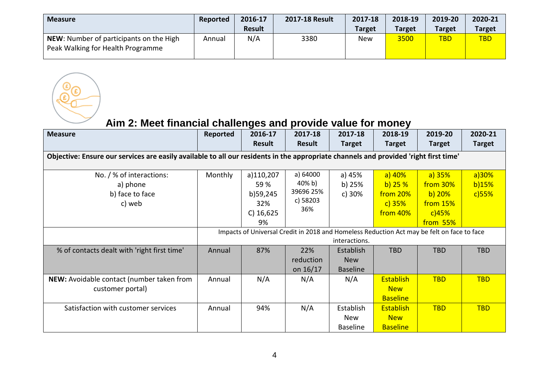| <b>Measure</b>                                                                      | Reported | 2016-17       | 2017-18 Result | 2017-18       | 2018-19       | 2019-20       | 2020-21       |
|-------------------------------------------------------------------------------------|----------|---------------|----------------|---------------|---------------|---------------|---------------|
|                                                                                     |          | <b>Result</b> |                | <b>Target</b> | <b>Target</b> | <b>Target</b> | <b>Target</b> |
| <b>NEW:</b> Number of participants on the High<br>Peak Walking for Health Programme | Annual   | N/A           | 3380           | <b>New</b>    | 3500          | <b>TBD</b>    | <b>TBD</b>    |

**Aim 2: Meet financial challenges and provide value for money**

COL

| <b>Measure</b>                                                                                                                       | Reported                                                                                                    | 2016-17<br><b>Result</b>                                  | 2017-18<br>Result                                  | 2017-18<br><b>Target</b>                   | 2018-19<br><b>Target</b>                               | 2019-20<br><b>Target</b>                                        | 2020-21<br><b>Target</b>   |  |  |
|--------------------------------------------------------------------------------------------------------------------------------------|-------------------------------------------------------------------------------------------------------------|-----------------------------------------------------------|----------------------------------------------------|--------------------------------------------|--------------------------------------------------------|-----------------------------------------------------------------|----------------------------|--|--|
| Objective: Ensure our services are easily available to all our residents in the appropriate channels and provided 'right first time' |                                                                                                             |                                                           |                                                    |                                            |                                                        |                                                                 |                            |  |  |
| No. / % of interactions:<br>a) phone<br>b) face to face<br>c) web                                                                    | Monthly                                                                                                     | a)110,207<br>59 %<br>b)59,245<br>32%<br>$C)$ 16,625<br>9% | a) 64000<br>40% b)<br>39696 25%<br>c) 58203<br>36% | a) 45%<br>b) 25%<br>c) 30%                 | $a)$ 40%<br>b) $25%$<br>from 20%<br>c) 35%<br>from 40% | a) 35%<br>from 30%<br>$b)$ 20%<br>from 15%<br>c)45%<br>from 55% | a)30%<br>b)15%<br>$c)$ 55% |  |  |
|                                                                                                                                      | Impacts of Universal Credit in 2018 and Homeless Reduction Act may be felt on face to face<br>interactions. |                                                           |                                                    |                                            |                                                        |                                                                 |                            |  |  |
| % of contacts dealt with 'right first time'                                                                                          | Annual                                                                                                      | 87%                                                       | 22%<br>reduction<br>on $16/17$                     | Establish<br><b>New</b><br><b>Baseline</b> | <b>TBD</b>                                             | <b>TBD</b>                                                      | <b>TBD</b>                 |  |  |
| NEW: Avoidable contact (number taken from<br>customer portal)                                                                        | Annual                                                                                                      | N/A                                                       | N/A                                                | N/A                                        | <b>Establish</b><br><b>New</b><br><b>Baseline</b>      | <b>TBD</b>                                                      | <b>TBD</b>                 |  |  |
| Satisfaction with customer services                                                                                                  | Annual                                                                                                      | 94%                                                       | N/A                                                | Establish<br>New<br><b>Baseline</b>        | <b>Establish</b><br><b>New</b><br><b>Baseline</b>      | <b>TBD</b>                                                      | <b>TBD</b>                 |  |  |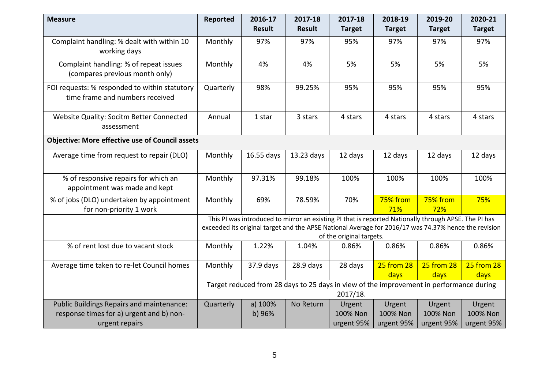| <b>Measure</b>                                                                                                 | Reported                                                                                            | 2016-17<br><b>Result</b> | 2017-18<br><b>Result</b> | 2017-18<br><b>Target</b>         | 2018-19<br><b>Target</b>         | 2019-20<br><b>Target</b>                                                                                                                                                                                     | 2020-21<br><b>Target</b>         |  |  |
|----------------------------------------------------------------------------------------------------------------|-----------------------------------------------------------------------------------------------------|--------------------------|--------------------------|----------------------------------|----------------------------------|--------------------------------------------------------------------------------------------------------------------------------------------------------------------------------------------------------------|----------------------------------|--|--|
| Complaint handling: % dealt with within 10<br>working days                                                     | Monthly                                                                                             | 97%                      | 97%                      | 95%                              | 97%                              | 97%                                                                                                                                                                                                          | 97%                              |  |  |
| Complaint handling: % of repeat issues<br>(compares previous month only)                                       | Monthly                                                                                             | 4%                       | 4%                       | 5%                               | 5%                               | 5%                                                                                                                                                                                                           | 5%                               |  |  |
| FOI requests: % responded to within statutory<br>time frame and numbers received                               | Quarterly                                                                                           | 98%                      | 99.25%                   | 95%                              | 95%                              | 95%                                                                                                                                                                                                          | 95%                              |  |  |
| Website Quality: Socitm Better Connected<br>assessment                                                         | Annual                                                                                              | 1 star                   | 3 stars                  | 4 stars                          | 4 stars                          | 4 stars                                                                                                                                                                                                      | 4 stars                          |  |  |
| <b>Objective: More effective use of Council assets</b>                                                         |                                                                                                     |                          |                          |                                  |                                  |                                                                                                                                                                                                              |                                  |  |  |
| Average time from request to repair (DLO)                                                                      | Monthly                                                                                             | 16.55 days               | 13.23 days               | 12 days                          | 12 days                          | 12 days                                                                                                                                                                                                      | 12 days                          |  |  |
| % of responsive repairs for which an<br>appointment was made and kept                                          | Monthly                                                                                             | 97.31%                   | 99.18%                   | 100%                             | 100%                             | 100%                                                                                                                                                                                                         | 100%                             |  |  |
| % of jobs (DLO) undertaken by appointment<br>for non-priority 1 work                                           | Monthly                                                                                             | 69%                      | 78.59%                   | 70%                              | 75% from<br>71%                  | 75% from<br>72%                                                                                                                                                                                              | 75%                              |  |  |
|                                                                                                                |                                                                                                     |                          |                          | of the original targets.         |                                  | This PI was introduced to mirror an existing PI that is reported Nationally through APSE. The PI has<br>exceeded its original target and the APSE National Average for 2016/17 was 74.37% hence the revision |                                  |  |  |
| % of rent lost due to vacant stock                                                                             | Monthly                                                                                             | 1.22%                    | 1.04%                    | 0.86%                            | 0.86%                            | 0.86%                                                                                                                                                                                                        | 0.86%                            |  |  |
| Average time taken to re-let Council homes                                                                     | Monthly                                                                                             | 37.9 days                | $28.9$ days              | 28 days                          | <b>25 from 28</b><br>days        | 25 from 28<br>days                                                                                                                                                                                           | 25 from 28<br>days               |  |  |
|                                                                                                                | Target reduced from 28 days to 25 days in view of the improvement in performance during<br>2017/18. |                          |                          |                                  |                                  |                                                                                                                                                                                                              |                                  |  |  |
| <b>Public Buildings Repairs and maintenance:</b><br>response times for a) urgent and b) non-<br>urgent repairs | Quarterly                                                                                           | a) 100%<br>b) 96%        | No Return                | Urgent<br>100% Non<br>urgent 95% | Urgent<br>100% Non<br>urgent 95% | Urgent<br>100% Non<br>urgent 95%                                                                                                                                                                             | Urgent<br>100% Non<br>urgent 95% |  |  |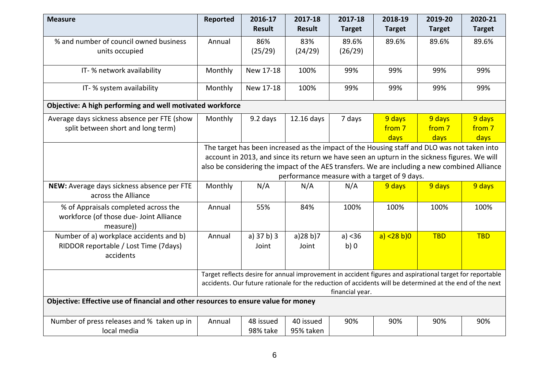| <b>Measure</b>                                                                               | <b>Reported</b> | 2016-17                                                                                     | 2017-18       | 2017-18                                                                                                  | 2018-19        | 2019-20       | 2020-21       |  |  |  |
|----------------------------------------------------------------------------------------------|-----------------|---------------------------------------------------------------------------------------------|---------------|----------------------------------------------------------------------------------------------------------|----------------|---------------|---------------|--|--|--|
|                                                                                              |                 | <b>Result</b>                                                                               | <b>Result</b> | <b>Target</b>                                                                                            | <b>Target</b>  | <b>Target</b> | <b>Target</b> |  |  |  |
| % and number of council owned business                                                       | Annual          | 86%                                                                                         | 83%           | 89.6%                                                                                                    | 89.6%          | 89.6%         | 89.6%         |  |  |  |
| units occupied                                                                               |                 | (25/29)                                                                                     | (24/29)       | (26/29)                                                                                                  |                |               |               |  |  |  |
|                                                                                              |                 |                                                                                             |               |                                                                                                          |                |               |               |  |  |  |
| IT- % network availability                                                                   | Monthly         | New 17-18                                                                                   | 100%          | 99%                                                                                                      | 99%            | 99%           | 99%           |  |  |  |
| IT- % system availability                                                                    | Monthly         | New 17-18                                                                                   | 100%          | 99%                                                                                                      | 99%            | 99%           | 99%           |  |  |  |
| Objective: A high performing and well motivated workforce                                    |                 |                                                                                             |               |                                                                                                          |                |               |               |  |  |  |
| Average days sickness absence per FTE (show                                                  | Monthly         | 9.2 days                                                                                    | 12.16 days    | 7 days                                                                                                   | 9 days         | 9 days        | 9 days        |  |  |  |
| split between short and long term)                                                           |                 |                                                                                             |               |                                                                                                          | from 7         | from 7        | from 7        |  |  |  |
|                                                                                              |                 |                                                                                             |               |                                                                                                          | days           | days          | days          |  |  |  |
|                                                                                              |                 | The target has been increased as the impact of the Housing staff and DLO was not taken into |               |                                                                                                          |                |               |               |  |  |  |
|                                                                                              |                 |                                                                                             |               | account in 2013, and since its return we have seen an upturn in the sickness figures. We will            |                |               |               |  |  |  |
|                                                                                              |                 |                                                                                             |               | also be considering the impact of the AES transfers. We are including a new combined Alliance            |                |               |               |  |  |  |
|                                                                                              |                 |                                                                                             |               | performance measure with a target of 9 days.                                                             |                |               |               |  |  |  |
| NEW: Average days sickness absence per FTE<br>across the Alliance                            | Monthly         | N/A                                                                                         | N/A           | N/A                                                                                                      | 9 days         | 9 days        | 9 days        |  |  |  |
| % of Appraisals completed across the<br>workforce (of those due- Joint Alliance<br>measure)) | Annual          | 55%                                                                                         | 84%           | 100%                                                                                                     | 100%           | 100%          | 100%          |  |  |  |
| Number of a) workplace accidents and b)                                                      | Annual          | a) 37 b) 3                                                                                  | a)28 b)7      | a) < 36                                                                                                  | a) $<$ 28 b) 0 | <b>TBD</b>    | <b>TBD</b>    |  |  |  |
| RIDDOR reportable / Lost Time (7days)<br>accidents                                           |                 | Joint                                                                                       | Joint         | b)0                                                                                                      |                |               |               |  |  |  |
|                                                                                              |                 |                                                                                             |               | Target reflects desire for annual improvement in accident figures and aspirational target for reportable |                |               |               |  |  |  |
|                                                                                              |                 |                                                                                             |               | accidents. Our future rationale for the reduction of accidents will be determined at the end of the next |                |               |               |  |  |  |
|                                                                                              | financial year. |                                                                                             |               |                                                                                                          |                |               |               |  |  |  |
| Objective: Effective use of financial and other resources to ensure value for money          |                 |                                                                                             |               |                                                                                                          |                |               |               |  |  |  |
| Number of press releases and % taken up in                                                   | Annual          | 48 issued                                                                                   | 40 issued     | 90%                                                                                                      | 90%            | 90%           | 90%           |  |  |  |
| local media                                                                                  |                 | 98% take                                                                                    | 95% taken     |                                                                                                          |                |               |               |  |  |  |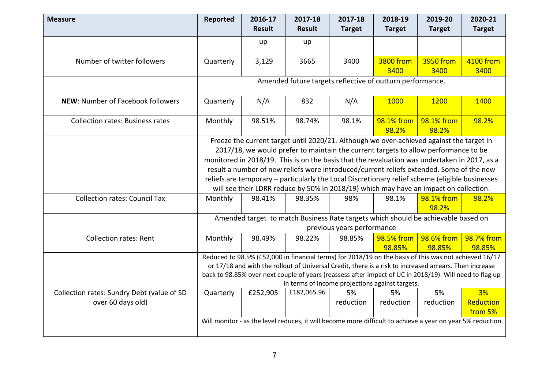| <b>Measure</b>                                                  | Reported                                                                                                                                                                                                                                                                                                                                                                                                                                                                                                                                                                | 2016-17<br><b>Result</b> | 2017-18<br><b>Result</b> | 2017-18<br><b>Target</b>   | 2018-19<br><b>Target</b>                                                                                  | 2019-20<br><b>Target</b> | 2020-21<br><b>Target</b>   |  |  |  |
|-----------------------------------------------------------------|-------------------------------------------------------------------------------------------------------------------------------------------------------------------------------------------------------------------------------------------------------------------------------------------------------------------------------------------------------------------------------------------------------------------------------------------------------------------------------------------------------------------------------------------------------------------------|--------------------------|--------------------------|----------------------------|-----------------------------------------------------------------------------------------------------------|--------------------------|----------------------------|--|--|--|
|                                                                 |                                                                                                                                                                                                                                                                                                                                                                                                                                                                                                                                                                         | up                       | up                       |                            |                                                                                                           |                          |                            |  |  |  |
| Number of twitter followers                                     | Quarterly                                                                                                                                                                                                                                                                                                                                                                                                                                                                                                                                                               | 3,129                    | 3665                     | 3400                       | 3800 from<br>3400                                                                                         | 3950 from<br>3400        | 4100 from<br>3400          |  |  |  |
|                                                                 |                                                                                                                                                                                                                                                                                                                                                                                                                                                                                                                                                                         |                          |                          |                            | Amended future targets reflective of outturn performance.                                                 |                          |                            |  |  |  |
| NEW: Number of Facebook followers                               | Quarterly                                                                                                                                                                                                                                                                                                                                                                                                                                                                                                                                                               | N/A                      | 832                      | N/A                        | 1000                                                                                                      | 1200                     | 1400                       |  |  |  |
| <b>Collection rates: Business rates</b>                         | Monthly                                                                                                                                                                                                                                                                                                                                                                                                                                                                                                                                                                 | 98.51%                   | 98.74%                   | 98.1%                      | 98.1% from<br>98.2%                                                                                       | 98.1% from<br>98.2%      | 98.2%                      |  |  |  |
|                                                                 | Freeze the current target until 2020/21. Although we over-achieved against the target in<br>2017/18, we would prefer to maintain the current targets to allow performance to be<br>monitored in 2018/19. This is on the basis that the revaluation was undertaken in 2017, as a<br>result a number of new reliefs were introduced/current reliefs extended. Some of the new<br>reliefs are temporary - particularly the Local Discretionary relief scheme (eligible businesses<br>will see their LDRR reduce by 50% in 2018/19) which may have an impact on collection. |                          |                          |                            |                                                                                                           |                          |                            |  |  |  |
| <b>Collection rates: Council Tax</b>                            | Monthly                                                                                                                                                                                                                                                                                                                                                                                                                                                                                                                                                                 | 98.41%                   | 98.35%                   | 98%                        | 98.1%                                                                                                     | 98.1% from<br>98.2%      | 98.2%                      |  |  |  |
|                                                                 |                                                                                                                                                                                                                                                                                                                                                                                                                                                                                                                                                                         |                          |                          | previous years performance | Amended target to match Business Rate targets which should be achievable based on                         |                          |                            |  |  |  |
| <b>Collection rates: Rent</b>                                   | Monthly                                                                                                                                                                                                                                                                                                                                                                                                                                                                                                                                                                 | 98.49%                   | 98.22%                   | 98.85%                     | 98.5% from<br>98.85%                                                                                      | 98.6% from<br>98.85%     | 98.7% from<br>98.85%       |  |  |  |
|                                                                 | Reduced to 98.5% (£52,000 in financial terms) for 2018/19 on the basis of this was not achieved 16/17<br>or 17/18 and with the rollout of Universal Credit, there is a risk to increased arrears. Then increase<br>back to 98.85% over next couple of years (reassess after impact of UC in 2018/19). Will need to flag up<br>in terms of income projections against targets.                                                                                                                                                                                           |                          |                          |                            |                                                                                                           |                          |                            |  |  |  |
| Collection rates: Sundry Debt (value of SD<br>over 60 days old) | Quarterly                                                                                                                                                                                                                                                                                                                                                                                                                                                                                                                                                               | £252,905                 | £182,065.96              | 5%<br>reduction            | 5%<br>reduction                                                                                           | 5%<br>reduction          | 3%<br>Reduction<br>from 5% |  |  |  |
|                                                                 |                                                                                                                                                                                                                                                                                                                                                                                                                                                                                                                                                                         |                          |                          |                            | Will monitor - as the level reduces, it will become more difficult to achieve a year on year 5% reduction |                          |                            |  |  |  |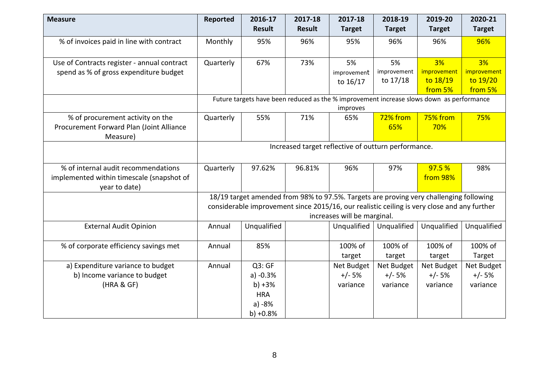| <b>Measure</b>                                             | Reported                                            | 2016-17<br><b>Result</b> | 2017-18<br><b>Result</b> | 2017-18<br><b>Target</b>                                                                             | 2018-19<br><b>Target</b> | 2019-20<br><b>Target</b> | 2020-21<br><b>Target</b> |  |
|------------------------------------------------------------|-----------------------------------------------------|--------------------------|--------------------------|------------------------------------------------------------------------------------------------------|--------------------------|--------------------------|--------------------------|--|
|                                                            |                                                     |                          |                          |                                                                                                      |                          |                          |                          |  |
| % of invoices paid in line with contract                   | Monthly                                             | 95%                      | 96%                      | 95%                                                                                                  | 96%                      | 96%                      | 96%                      |  |
| Use of Contracts register - annual contract                | Quarterly                                           | 67%                      | 73%                      | 5%                                                                                                   | 5%                       | 3%                       | 3%                       |  |
| spend as % of gross expenditure budget                     |                                                     |                          |                          | improvement                                                                                          | improvement              | improvement              | improvement              |  |
|                                                            |                                                     |                          |                          | to 16/17                                                                                             | to 17/18                 | to $18/19$               | to 19/20                 |  |
|                                                            |                                                     |                          |                          |                                                                                                      |                          | from 5%                  | from 5%                  |  |
|                                                            |                                                     |                          |                          | Future targets have been reduced as the % improvement increase slows down as performance<br>improves |                          |                          |                          |  |
| % of procurement activity on the                           | Quarterly                                           | 55%                      | 71%                      | 65%                                                                                                  | 72% from                 | 75% from                 | 75%                      |  |
| Procurement Forward Plan (Joint Alliance<br>Measure)       |                                                     |                          |                          |                                                                                                      | 65%                      | 70%                      |                          |  |
|                                                            | Increased target reflective of outturn performance. |                          |                          |                                                                                                      |                          |                          |                          |  |
| % of internal audit recommendations                        | Quarterly                                           | 97.62%                   | 96.81%                   | 96%                                                                                                  | 97%                      | 97.5 %                   | 98%                      |  |
| implemented within timescale (snapshot of<br>year to date) |                                                     |                          |                          |                                                                                                      |                          | from 98%                 |                          |  |
|                                                            |                                                     |                          |                          | 18/19 target amended from 98% to 97.5%. Targets are proving very challenging following               |                          |                          |                          |  |
|                                                            |                                                     |                          |                          | considerable improvement since 2015/16, our realistic ceiling is very close and any further          |                          |                          |                          |  |
|                                                            |                                                     |                          |                          | increases will be marginal.                                                                          |                          |                          |                          |  |
| <b>External Audit Opinion</b>                              | Annual                                              | Unqualified              |                          | Unqualified                                                                                          | Unqualified              | Unqualified              | Unqualified              |  |
| % of corporate efficiency savings met                      | Annual                                              | 85%                      |                          | 100% of                                                                                              | 100% of                  | 100% of                  | 100% of                  |  |
|                                                            |                                                     |                          |                          | target                                                                                               | target                   | target                   | Target                   |  |
| a) Expenditure variance to budget                          | Annual                                              | Q3:GF                    |                          | Net Budget                                                                                           | Net Budget               | Net Budget               | Net Budget               |  |
| b) Income variance to budget                               |                                                     | $a) -0.3%$               |                          | $+/- 5%$                                                                                             | $+/- 5%$                 | $+/- 5%$                 | $+/- 5%$                 |  |
| (HRA & GF)                                                 |                                                     | $b) + 3%$                |                          | variance                                                                                             | variance                 | variance                 | variance                 |  |
|                                                            |                                                     | <b>HRA</b>               |                          |                                                                                                      |                          |                          |                          |  |
|                                                            |                                                     | $a) -8%$                 |                          |                                                                                                      |                          |                          |                          |  |
|                                                            |                                                     | $b) +0.8%$               |                          |                                                                                                      |                          |                          |                          |  |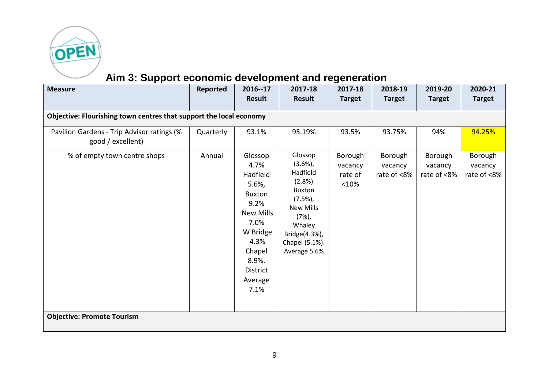

# **Aim 3: Support economic development and regeneration**

| <b>Measure</b>                                                     | Reported  | 2016--17<br>Result                                                                                                                                                    | 2017-18<br><b>Result</b>                                                                                                                                             | 2017-18<br><b>Target</b>              | 2018-19<br><b>Target</b>          | 2019-20<br><b>Target</b>          | 2020-21<br><b>Target</b>          |  |  |  |  |  |
|--------------------------------------------------------------------|-----------|-----------------------------------------------------------------------------------------------------------------------------------------------------------------------|----------------------------------------------------------------------------------------------------------------------------------------------------------------------|---------------------------------------|-----------------------------------|-----------------------------------|-----------------------------------|--|--|--|--|--|
| Objective: Flourishing town centres that support the local economy |           |                                                                                                                                                                       |                                                                                                                                                                      |                                       |                                   |                                   |                                   |  |  |  |  |  |
| Pavilion Gardens - Trip Advisor ratings (%<br>good / excellent)    | Quarterly | 93.1%                                                                                                                                                                 | 95.19%                                                                                                                                                               | 93.5%                                 | 93.75%                            | 94%                               | 94.25%                            |  |  |  |  |  |
| % of empty town centre shops                                       | Annual    | Glossop<br>4.7%<br>Hadfield<br>5.6%<br><b>Buxton</b><br>9.2%<br><b>New Mills</b><br>7.0%<br>W Bridge<br>4.3%<br>Chapel<br>8.9%.<br><b>District</b><br>Average<br>7.1% | Glossop<br>$(3.6\%)$ ,<br>Hadfield<br>(2.8%)<br><b>Buxton</b><br>(7.5%)<br><b>New Mills</b><br>$(7%)$ ,<br>Whaley<br>Bridge(4.3%),<br>Chapel (5.1%).<br>Average 5.6% | Borough<br>vacancy<br>rate of<br><10% | Borough<br>vacancy<br>rate of <8% | Borough<br>vacancy<br>rate of <8% | Borough<br>vacancy<br>rate of <8% |  |  |  |  |  |
| <b>Objective: Promote Tourism</b>                                  |           |                                                                                                                                                                       |                                                                                                                                                                      |                                       |                                   |                                   |                                   |  |  |  |  |  |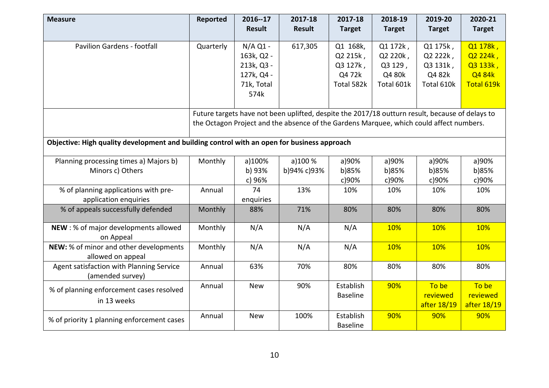| <b>Measure</b>                                                                              | Reported  | 2016--17      | 2017-18                                                                                         | 2017-18         | 2018-19       | 2019-20       | 2020-21       |  |  |
|---------------------------------------------------------------------------------------------|-----------|---------------|-------------------------------------------------------------------------------------------------|-----------------|---------------|---------------|---------------|--|--|
|                                                                                             |           | <b>Result</b> | <b>Result</b>                                                                                   | <b>Target</b>   | <b>Target</b> | <b>Target</b> | <b>Target</b> |  |  |
| <b>Pavilion Gardens - footfall</b>                                                          | Quarterly | $N/A$ Q1 -    | 617,305                                                                                         | Q1 168k,        | Q1 172k,      | Q1 175k,      | Q1 178k,      |  |  |
|                                                                                             |           | 163k, Q2 -    |                                                                                                 | Q2 215k,        | Q2 220k,      | Q2 222k,      | Q2 224k,      |  |  |
|                                                                                             |           | 213k, Q3 -    |                                                                                                 | Q3 127k,        | Q3 129,       | Q3 131k,      | Q3 133k,      |  |  |
|                                                                                             |           | 127k, Q4 -    |                                                                                                 | Q4 72k          | Q4 80k        | Q4 82k        | Q4 84k        |  |  |
|                                                                                             |           | 71k, Total    |                                                                                                 | Total 582k      | Total 601k    | Total 610k    | Total 619k    |  |  |
|                                                                                             |           | 574k          |                                                                                                 |                 |               |               |               |  |  |
|                                                                                             |           |               | Future targets have not been uplifted, despite the 2017/18 outturn result, because of delays to |                 |               |               |               |  |  |
|                                                                                             |           |               | the Octagon Project and the absence of the Gardens Marquee, which could affect numbers.         |                 |               |               |               |  |  |
|                                                                                             |           |               |                                                                                                 |                 |               |               |               |  |  |
| Objective: High quality development and building control with an open for business approach |           |               |                                                                                                 |                 |               |               |               |  |  |
| Planning processing times a) Majors b)                                                      | Monthly   | a)100%        | a)100%                                                                                          | a)90%           | a)90%         | a)90%         | a)90%         |  |  |
| Minors c) Others                                                                            |           | b) 93%        | b)94% c)93%                                                                                     | b)85%           | b)85%         | b)85%         | b)85%         |  |  |
|                                                                                             |           | c) 96%        |                                                                                                 | c)90%           | c)90%         | c)90%         | c)90%         |  |  |
| % of planning applications with pre-                                                        | Annual    | 74            | 13%                                                                                             | 10%             | 10%           | 10%           | 10%           |  |  |
| application enquiries                                                                       |           | enquiries     |                                                                                                 |                 |               |               |               |  |  |
| % of appeals successfully defended                                                          | Monthly   | 88%           | 71%                                                                                             | 80%             | 80%           | 80%           | 80%           |  |  |
| NEW: % of major developments allowed<br>on Appeal                                           | Monthly   | N/A           | N/A                                                                                             | N/A             | 10%           | 10%           | 10%           |  |  |
| NEW: % of minor and other developments<br>allowed on appeal                                 | Monthly   | N/A           | N/A                                                                                             | N/A             | 10%           | 10%           | 10%           |  |  |
| Agent satisfaction with Planning Service<br>(amended survey)                                | Annual    | 63%           | 70%                                                                                             | 80%             | 80%           | 80%           | 80%           |  |  |
| % of planning enforcement cases resolved                                                    | Annual    | <b>New</b>    | 90%                                                                                             | Establish       | 90%           | To be         | To be         |  |  |
| in 13 weeks                                                                                 |           |               |                                                                                                 | <b>Baseline</b> |               | reviewed      | reviewed      |  |  |
|                                                                                             |           |               |                                                                                                 |                 |               | after 18/19   | after 18/19   |  |  |
| % of priority 1 planning enforcement cases                                                  | Annual    | <b>New</b>    | 100%                                                                                            | Establish       | 90%           | 90%           | 90%           |  |  |
|                                                                                             |           |               |                                                                                                 | <b>Baseline</b> |               |               |               |  |  |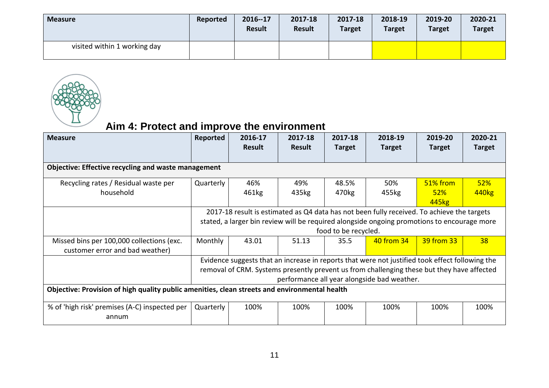| <b>Measure</b>               | Reported | 2016--17<br>Result | 2017-18<br><b>Result</b> | 2017-18<br><b>Target</b> | 2018-19<br><b>Target</b> | 2019-20<br><b>Target</b> | 2020-21<br><b>Target</b> |
|------------------------------|----------|--------------------|--------------------------|--------------------------|--------------------------|--------------------------|--------------------------|
| visited within 1 working day |          |                    |                          |                          |                          |                          |                          |



### **Aim 4: Protect and improve the environment**

| <b>Measure</b>                                                                                | Reported                                                                                   | 2016-17<br><b>Result</b>                                                                    | 2017-18<br><b>Result</b> | 2017-18<br><b>Target</b> | 2018-19<br><b>Target</b>                                                                        | 2019-20<br><b>Target</b> | 2020-21<br><b>Target</b> |  |  |  |  |
|-----------------------------------------------------------------------------------------------|--------------------------------------------------------------------------------------------|---------------------------------------------------------------------------------------------|--------------------------|--------------------------|-------------------------------------------------------------------------------------------------|--------------------------|--------------------------|--|--|--|--|
| <b>Objective: Effective recycling and waste management</b>                                    |                                                                                            |                                                                                             |                          |                          |                                                                                                 |                          |                          |  |  |  |  |
| Recycling rates / Residual waste per                                                          | Quarterly                                                                                  | 46%                                                                                         | 49%                      | 48.5%                    | 50%                                                                                             | 51% from                 | 52%                      |  |  |  |  |
| household                                                                                     |                                                                                            | 461kg                                                                                       | 435kg                    | 470kg                    | 455kg                                                                                           | 52%                      | 440 <sub>kg</sub>        |  |  |  |  |
|                                                                                               |                                                                                            |                                                                                             |                          |                          |                                                                                                 | 445 <sub>kg</sub>        |                          |  |  |  |  |
|                                                                                               | 2017-18 result is estimated as Q4 data has not been fully received. To achieve the targets |                                                                                             |                          |                          |                                                                                                 |                          |                          |  |  |  |  |
|                                                                                               |                                                                                            | stated, a larger bin review will be required alongside ongoing promotions to encourage more |                          |                          |                                                                                                 |                          |                          |  |  |  |  |
|                                                                                               |                                                                                            |                                                                                             |                          | food to be recycled.     |                                                                                                 |                          |                          |  |  |  |  |
| Missed bins per 100,000 collections (exc.                                                     | Monthly                                                                                    | 43.01                                                                                       | 51.13                    | 35.5                     | <b>40 from 34</b>                                                                               | 39 from 33               | 38                       |  |  |  |  |
| customer error and bad weather)                                                               |                                                                                            |                                                                                             |                          |                          |                                                                                                 |                          |                          |  |  |  |  |
|                                                                                               |                                                                                            |                                                                                             |                          |                          | Evidence suggests that an increase in reports that were not justified took effect following the |                          |                          |  |  |  |  |
|                                                                                               |                                                                                            |                                                                                             |                          |                          | removal of CRM. Systems presently prevent us from challenging these but they have affected      |                          |                          |  |  |  |  |
|                                                                                               |                                                                                            |                                                                                             |                          |                          | performance all year alongside bad weather.                                                     |                          |                          |  |  |  |  |
| Objective: Provision of high quality public amenities, clean streets and environmental health |                                                                                            |                                                                                             |                          |                          |                                                                                                 |                          |                          |  |  |  |  |
| % of 'high risk' premises (A-C) inspected per<br>annum                                        | Quarterly                                                                                  | 100%                                                                                        | 100%                     | 100%                     | 100%                                                                                            | 100%                     | 100%                     |  |  |  |  |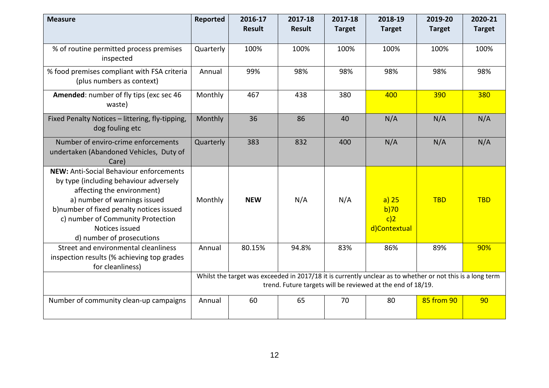| <b>Measure</b>                                                                                                                                                                                                                                                                         | Reported                                                                                                                                                                  | 2016-17<br><b>Result</b> | 2017-18<br><b>Result</b> | 2017-18<br><b>Target</b> | 2018-19<br><b>Target</b>                  | 2019-20<br><b>Target</b> | 2020-21<br><b>Target</b> |
|----------------------------------------------------------------------------------------------------------------------------------------------------------------------------------------------------------------------------------------------------------------------------------------|---------------------------------------------------------------------------------------------------------------------------------------------------------------------------|--------------------------|--------------------------|--------------------------|-------------------------------------------|--------------------------|--------------------------|
| % of routine permitted process premises<br>inspected                                                                                                                                                                                                                                   | Quarterly                                                                                                                                                                 | 100%                     | 100%                     | 100%                     | 100%                                      | 100%                     | 100%                     |
| % food premises compliant with FSA criteria<br>(plus numbers as context)                                                                                                                                                                                                               | Annual                                                                                                                                                                    | 99%                      | 98%                      | 98%                      | 98%                                       | 98%                      | 98%                      |
| Amended: number of fly tips (exc sec 46<br>waste)                                                                                                                                                                                                                                      | Monthly                                                                                                                                                                   | 467                      | 438                      | 380                      | 400                                       | 390                      | 380                      |
| Fixed Penalty Notices - littering, fly-tipping,<br>dog fouling etc                                                                                                                                                                                                                     | Monthly                                                                                                                                                                   | 36                       | 86                       | 40                       | N/A                                       | N/A                      | N/A                      |
| Number of enviro-crime enforcements<br>undertaken (Abandoned Vehicles, Duty of<br>Care)                                                                                                                                                                                                | Quarterly                                                                                                                                                                 | 383                      | 832                      | 400                      | N/A                                       | N/A                      | N/A                      |
| <b>NEW: Anti-Social Behaviour enforcements</b><br>by type (including behaviour adversely<br>affecting the environment)<br>a) number of warnings issued<br>b)number of fixed penalty notices issued<br>c) number of Community Protection<br>Notices issued<br>d) number of prosecutions | Monthly                                                                                                                                                                   | <b>NEW</b>               | N/A                      | N/A                      | $a)$ 25<br>b)70<br>$c$ )2<br>d)Contextual | <b>TBD</b>               | <b>TBD</b>               |
| Street and environmental cleanliness<br>inspection results (% achieving top grades<br>for cleanliness)                                                                                                                                                                                 | Annual                                                                                                                                                                    | 80.15%                   | 94.8%                    | 83%                      | 86%                                       | 89%                      | 90%                      |
|                                                                                                                                                                                                                                                                                        | Whilst the target was exceeded in 2017/18 it is currently unclear as to whether or not this is a long term<br>trend. Future targets will be reviewed at the end of 18/19. |                          |                          |                          |                                           |                          |                          |
| Number of community clean-up campaigns                                                                                                                                                                                                                                                 | Annual                                                                                                                                                                    | 60                       | 65                       | 70                       | 80                                        | 85 from 90               | 90                       |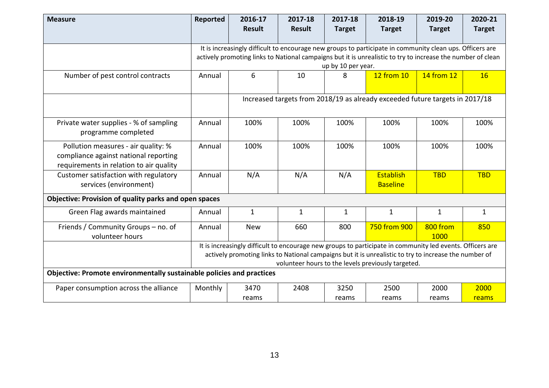| <b>Measure</b>                                                                                                          | <b>Reported</b> | 2016-17<br><b>Result</b> | 2017-18<br><b>Result</b> | 2017-18<br><b>Target</b> | 2018-19<br><b>Target</b>                                                                                                                                                                                                                                                 | 2019-20<br><b>Target</b> | 2020-21<br><b>Target</b> |
|-------------------------------------------------------------------------------------------------------------------------|-----------------|--------------------------|--------------------------|--------------------------|--------------------------------------------------------------------------------------------------------------------------------------------------------------------------------------------------------------------------------------------------------------------------|--------------------------|--------------------------|
|                                                                                                                         |                 |                          |                          |                          | It is increasingly difficult to encourage new groups to participate in community clean ups. Officers are<br>actively promoting links to National campaigns but it is unrealistic to try to increase the number of clean                                                  |                          |                          |
|                                                                                                                         |                 |                          |                          | up by 10 per year.       |                                                                                                                                                                                                                                                                          |                          |                          |
| Number of pest control contracts                                                                                        | Annual          | 6                        | 10                       | 8                        | 12 from 10                                                                                                                                                                                                                                                               | 14 from 12               | 16                       |
|                                                                                                                         |                 |                          |                          |                          | Increased targets from 2018/19 as already exceeded future targets in 2017/18                                                                                                                                                                                             |                          |                          |
| Private water supplies - % of sampling<br>programme completed                                                           | Annual          | 100%                     | 100%                     | 100%                     | 100%                                                                                                                                                                                                                                                                     | 100%                     | 100%                     |
| Pollution measures - air quality: %<br>compliance against national reporting<br>requirements in relation to air quality | Annual          | 100%                     | 100%                     | 100%                     | 100%                                                                                                                                                                                                                                                                     | 100%                     | 100%                     |
| Customer satisfaction with regulatory<br>services (environment)                                                         | Annual          | N/A                      | N/A                      | N/A                      | Establish<br><b>Baseline</b>                                                                                                                                                                                                                                             | <b>TBD</b>               | <b>TBD</b>               |
| Objective: Provision of quality parks and open spaces                                                                   |                 |                          |                          |                          |                                                                                                                                                                                                                                                                          |                          |                          |
| Green Flag awards maintained                                                                                            | Annual          | $\mathbf{1}$             | $\mathbf{1}$             | $\mathbf{1}$             | $\mathbf{1}$                                                                                                                                                                                                                                                             | $\mathbf{1}$             | $\mathbf{1}$             |
| Friends / Community Groups - no. of<br>volunteer hours                                                                  | Annual          | <b>New</b>               | 660                      | 800                      | 750 from 900                                                                                                                                                                                                                                                             | 800 from<br>1000         | 850                      |
|                                                                                                                         |                 |                          |                          |                          | It is increasingly difficult to encourage new groups to participate in community led events. Officers are<br>actively promoting links to National campaigns but it is unrealistic to try to increase the number of<br>volunteer hours to the levels previously targeted. |                          |                          |
| Objective: Promote environmentally sustainable policies and practices                                                   |                 |                          |                          |                          |                                                                                                                                                                                                                                                                          |                          |                          |
| Paper consumption across the alliance                                                                                   | Monthly         | 3470                     | 2408                     | 3250                     | 2500                                                                                                                                                                                                                                                                     | 2000                     | 2000                     |
|                                                                                                                         |                 | reams                    |                          | reams                    | reams                                                                                                                                                                                                                                                                    | reams                    | reams                    |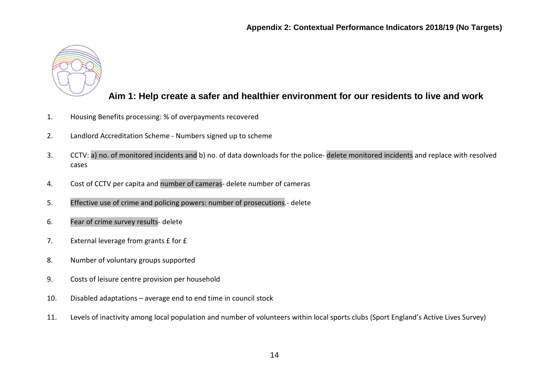

#### **Aim 1: Help create a safer and healthier environment for our residents to live and work**

- 1. Housing Benefits processing: % of overpayments recovered
- 2. Landlord Accreditation Scheme Numbers signed up to scheme
- 3. CCTV: a) no. of monitored incidents and b) no. of data downloads for the police- delete monitored incidents and replace with resolved cases
- 4. Cost of CCTV per capita and number of cameras- delete number of cameras
- 5. Effective use of crime and policing powers: number of prosecutions.- delete
- 6. Fear of crime survey results- delete
- 7. External leverage from grants £ for £
- 8. Number of voluntary groups supported
- 9. Costs of leisure centre provision per household
- 10. Disabled adaptations average end to end time in council stock
- 11. Levels of inactivity among local population and number of volunteers within local sports clubs (Sport England's Active Lives Survey)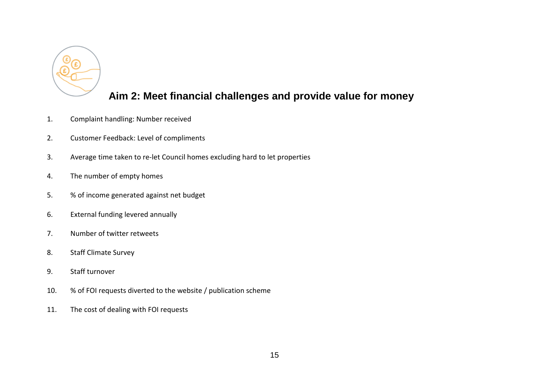

### **Aim 2: Meet financial challenges and provide value for money**

- 1. Complaint handling: Number received
- 2. Customer Feedback: Level of compliments
- 3. Average time taken to re-let Council homes excluding hard to let properties
- 4. The number of empty homes
- 5. % of income generated against net budget
- 6. External funding levered annually
- 7. Number of twitter retweets
- 8. Staff Climate Survey
- 9. Staff turnover
- 10. % of FOI requests diverted to the website / publication scheme
- 11. The cost of dealing with FOI requests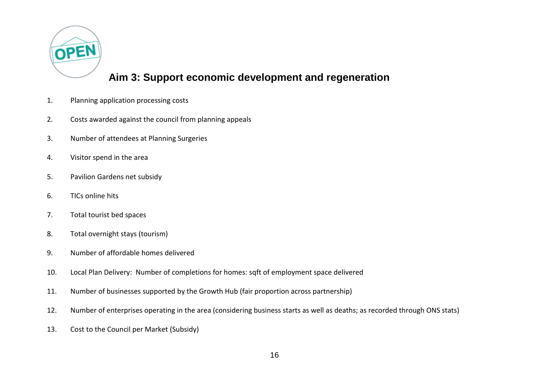

#### **Aim 3: Support economic development and regeneration**

- 1. Planning application processing costs
- 2. Costs awarded against the council from planning appeals
- 3. Number of attendees at Planning Surgeries
- 4. Visitor spend in the area
- 5. Pavilion Gardens net subsidy
- 6. TICs online hits
- 7. Total tourist bed spaces
- 8. Total overnight stays (tourism)
- 9. Number of affordable homes delivered
- 10. Local Plan Delivery: Number of completions for homes: sqft of employment space delivered
- 11. Number of businesses supported by the Growth Hub (fair proportion across partnership)
- 12. Number of enterprises operating in the area (considering business starts as well as deaths; as recorded through ONS stats)
- 13. Cost to the Council per Market (Subsidy)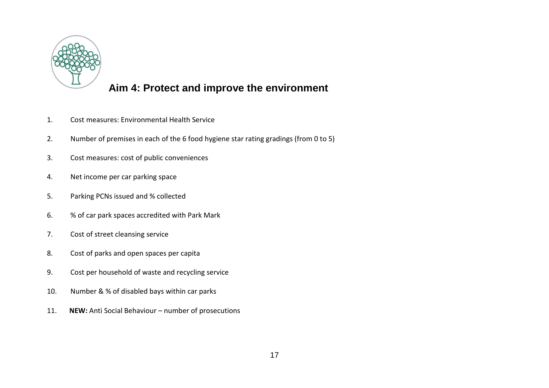

#### **Aim 4: Protect and improve the environment**

- 1. Cost measures: Environmental Health Service
- 2. Number of premises in each of the 6 food hygiene star rating gradings (from 0 to 5)
- 3. Cost measures: cost of public conveniences
- 4. Net income per car parking space
- 5. Parking PCNs issued and % collected
- 6. % of car park spaces accredited with Park Mark
- 7. Cost of street cleansing service
- 8. Cost of parks and open spaces per capita
- 9. Cost per household of waste and recycling service
- 10. Number & % of disabled bays within car parks
- 11. **NEW:** Anti Social Behaviour number of prosecutions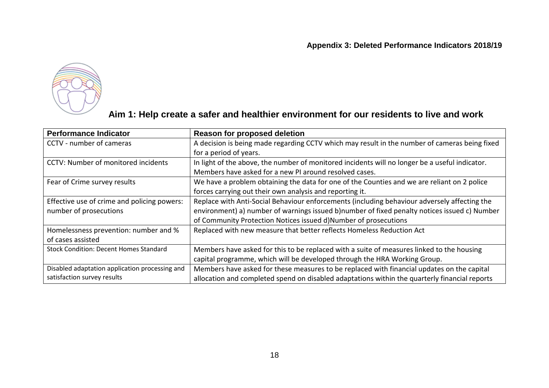

#### **Aim 1: Help create a safer and healthier environment for our residents to live and work**

| <b>Performance Indicator</b>                   | Reason for proposed deletion                                                                   |
|------------------------------------------------|------------------------------------------------------------------------------------------------|
| CCTV - number of cameras                       | A decision is being made regarding CCTV which may result in the number of cameras being fixed  |
|                                                | for a period of years.                                                                         |
| <b>CCTV: Number of monitored incidents</b>     | In light of the above, the number of monitored incidents will no longer be a useful indicator. |
|                                                | Members have asked for a new PI around resolved cases.                                         |
| Fear of Crime survey results                   | We have a problem obtaining the data for one of the Counties and we are reliant on 2 police    |
|                                                | forces carrying out their own analysis and reporting it.                                       |
| Effective use of crime and policing powers:    | Replace with Anti-Social Behaviour enforcements (including behaviour adversely affecting the   |
| number of prosecutions                         | environment) a) number of warnings issued b)number of fixed penalty notices issued c) Number   |
|                                                | of Community Protection Notices issued d)Number of prosecutions                                |
| Homelessness prevention: number and %          | Replaced with new measure that better reflects Homeless Reduction Act                          |
| of cases assisted                              |                                                                                                |
| <b>Stock Condition: Decent Homes Standard</b>  | Members have asked for this to be replaced with a suite of measures linked to the housing      |
|                                                | capital programme, which will be developed through the HRA Working Group.                      |
| Disabled adaptation application processing and | Members have asked for these measures to be replaced with financial updates on the capital     |
| satisfaction survey results                    | allocation and completed spend on disabled adaptations within the quarterly financial reports  |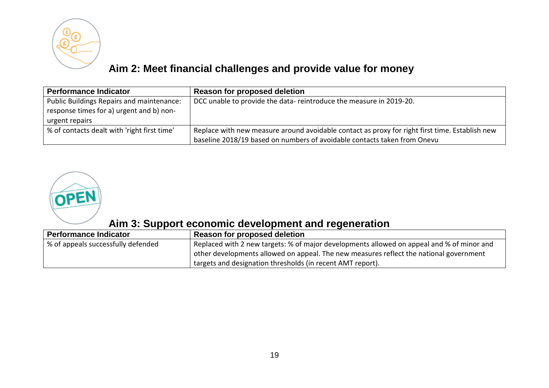

# **Aim 2: Meet financial challenges and provide value for money**

| <b>Performance Indicator</b>                                                                            | Reason for proposed deletion                                                                                                                                               |
|---------------------------------------------------------------------------------------------------------|----------------------------------------------------------------------------------------------------------------------------------------------------------------------------|
| Public Buildings Repairs and maintenance:<br>response times for a) urgent and b) non-<br>urgent repairs | DCC unable to provide the data-reintroduce the measure in 2019-20.                                                                                                         |
| % of contacts dealt with 'right first time'                                                             | Replace with new measure around avoidable contact as proxy for right first time. Establish new<br>baseline 2018/19 based on numbers of avoidable contacts taken from Onevu |



## **Aim 3: Support economic development and regeneration**

| <b>Performance Indicator</b>       | Reason for proposed deletion                                                              |
|------------------------------------|-------------------------------------------------------------------------------------------|
| % of appeals successfully defended | Replaced with 2 new targets: % of major developments allowed on appeal and % of minor and |
|                                    | other developments allowed on appeal. The new measures reflect the national government    |
|                                    | <sup>1</sup> targets and designation thresholds (in recent AMT report).                   |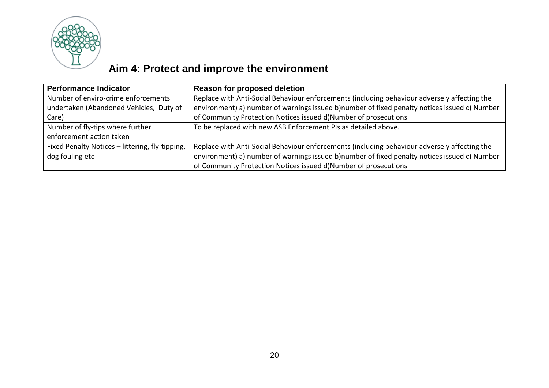

# **Aim 4: Protect and improve the environment**

| <b>Performance Indicator</b>                    | <b>Reason for proposed deletion</b>                                                          |
|-------------------------------------------------|----------------------------------------------------------------------------------------------|
| Number of enviro-crime enforcements             | Replace with Anti-Social Behaviour enforcements (including behaviour adversely affecting the |
| undertaken (Abandoned Vehicles, Duty of         | environment) a) number of warnings issued b)number of fixed penalty notices issued c) Number |
| Care)                                           | of Community Protection Notices issued d)Number of prosecutions                              |
| Number of fly-tips where further                | To be replaced with new ASB Enforcement PIs as detailed above.                               |
| enforcement action taken                        |                                                                                              |
| Fixed Penalty Notices - littering, fly-tipping, | Replace with Anti-Social Behaviour enforcements (including behaviour adversely affecting the |
| dog fouling etc                                 | environment) a) number of warnings issued b)number of fixed penalty notices issued c) Number |
|                                                 | of Community Protection Notices issued d)Number of prosecutions                              |